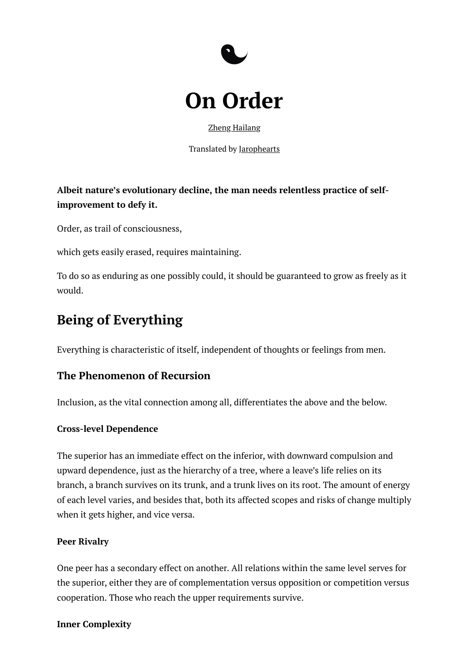



Zheng [Hailang](https://www.role2.com/hailang)

Translated by [Jarophearts](https://space.bilibili.com/8576142)

**Albeit nature's evolutionary decline, the man needs relentless practice of selfimprovement to defy it.**

Order, as trail of consciousness,

which gets easily erased, requires maintaining.

To do so as enduring as one possibly could, it should be guaranteed to grow as freely as it would.

# **Being of Everything**

Everything is characteristic of itself, independent of thoughts or feelings from men.

## **The Phenomenon of Recursion**

Inclusion, as the vital connection among all, differentiates the above and the below.

#### **Cross-level Dependence**

The superior has an immediate effect on the inferior, with downward compulsion and upward dependence, just as the hierarchy of a tree, where a leave's life relies on its branch, a branch survives on its trunk, and a trunk lives on its root. The amount of energy of each level varies, and besides that, both its affected scopes and risks of change multiply when it gets higher, and vice versa.

#### **Peer Rivalry**

One peer has a secondary effect on another. All relations within the same level serves for the superior, either they are of complementation versus opposition or competition versus cooperation. Those who reach the upper requirements survive.

#### **Inner Complexity**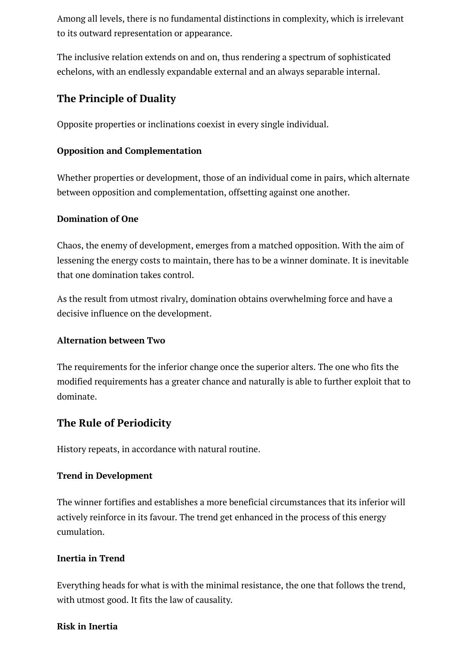Among all levels, there is no fundamental distinctions in complexity, which is irrelevant to its outward representation or appearance.

The inclusive relation extends on and on, thus rendering a spectrum of sophisticated echelons, with an endlessly expandable external and an always separable internal.

## **The Principle of Duality**

Opposite properties or inclinations coexist in every single individual.

## **Opposition and Complementation**

Whether properties or development, those of an individual come in pairs, which alternate between opposition and complementation, offsetting against one another.

## **Domination of One**

Chaos, the enemy of development, emerges from a matched opposition. With the aim of lessening the energy costs to maintain, there has to be a winner dominate. It is inevitable that one domination takes control.

As the result from utmost rivalry, domination obtains overwhelming force and have a decisive influence on the development.

## **Alternation between Two**

The requirements for the inferior change once the superior alters. The one who fits the modified requirements has a greater chance and naturally is able to further exploit that to dominate.

## **The Rule of Periodicity**

History repeats, in accordance with natural routine.

## **Trend in Development**

The winner fortifies and establishes a more beneficial circumstances that its inferior will actively reinforce in its favour. The trend get enhanced in the process of this energy cumulation.

## **Inertia in Trend**

Everything heads for what is with the minimal resistance, the one that follows the trend, with utmost good. It fits the law of causality.

## **Risk in Inertia**